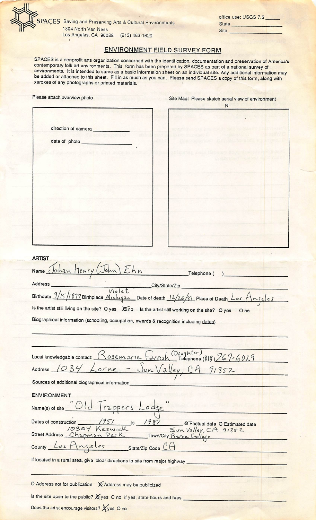

## **Site**

office use: USGS 7.5

State

## ENVIRONMENT FIELD SURVEY FORM

SPACES is a nonprofit arts organization concerned with the identification, documentation and preservation of America's contemporary folk art environments. This form has been prepared by SPACES as part of a national survey of environments. It is intended to serve as a basic information sheet on an individual site. Any additional information may be added or attached to this sheet. Fill in as much as you can. Please send SPACES a copy of this form, along with xeroxes of any photographs or printed materials.

| Please attach overview photo                                                                                                                                     | Site Map: Please sketch aerial view of environment<br>N                                              |
|------------------------------------------------------------------------------------------------------------------------------------------------------------------|------------------------------------------------------------------------------------------------------|
|                                                                                                                                                                  |                                                                                                      |
| direction of camera                                                                                                                                              |                                                                                                      |
|                                                                                                                                                                  |                                                                                                      |
|                                                                                                                                                                  |                                                                                                      |
|                                                                                                                                                                  |                                                                                                      |
|                                                                                                                                                                  |                                                                                                      |
|                                                                                                                                                                  |                                                                                                      |
|                                                                                                                                                                  |                                                                                                      |
|                                                                                                                                                                  |                                                                                                      |
|                                                                                                                                                                  |                                                                                                      |
|                                                                                                                                                                  |                                                                                                      |
|                                                                                                                                                                  |                                                                                                      |
|                                                                                                                                                                  |                                                                                                      |
| <b>ARTIST</b>                                                                                                                                                    |                                                                                                      |
| Name Johan Henry (John) Ehn                                                                                                                                      | Telephone (                                                                                          |
| Address                                                                                                                                                          | City/State/Zip                                                                                       |
|                                                                                                                                                                  | Address<br>Birthdate 9/15/1897 Birthplace Michigan Date of death 12/26/81 Place of Death Los Angeles |
| Is the artist still living on the site? O yes 20 no Is the artist still working on the site? O yes                                                               | O <sub>no</sub>                                                                                      |
| Biographical information (schooling, occupation, awards & recognition including dates)                                                                           |                                                                                                      |
|                                                                                                                                                                  |                                                                                                      |
|                                                                                                                                                                  |                                                                                                      |
| Local knowledgable contact: Rosemarie Farrish (Daughter) (818) 767-6029                                                                                          |                                                                                                      |
| Address 1034 Lorne                                                                                                                                               | - Jun Valley, CA $91352$                                                                             |
| Sources of additional biographical information                                                                                                                   |                                                                                                      |
| <b>ENVIRONMENT</b>                                                                                                                                               |                                                                                                      |
| Name(s) of site "Old Trappers Lodge"                                                                                                                             |                                                                                                      |
|                                                                                                                                                                  |                                                                                                      |
| Dates of construction 1951 to 1981 8 Factual date O Estimated date<br>10304 Keswick Sun Valley, CA 91352<br>Street Address Chapman Park Town/City Pierce College |                                                                                                      |
|                                                                                                                                                                  |                                                                                                      |
| County Los Anjeles State/Zip Code CA                                                                                                                             |                                                                                                      |
| If located in a rural area, give clear directions to site from major highway                                                                                     |                                                                                                      |
|                                                                                                                                                                  |                                                                                                      |
| O Address not for publication & Address may be publicized                                                                                                        |                                                                                                      |
| Is the site open to the public? X yes O no If yes, state hours and fees                                                                                          |                                                                                                      |
| Does the artist encourage visitors? @ yes O no                                                                                                                   |                                                                                                      |